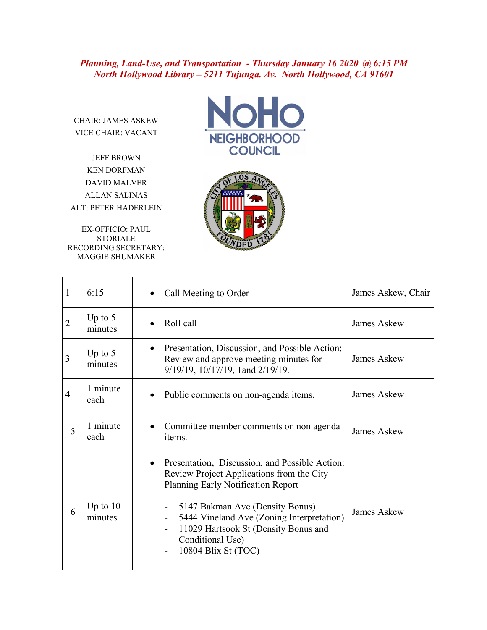*Planning, Land-Use, and Transportation - Thursday January 16 2020 @ 6:15 PM North Hollywood Library – 5211 Tujunga. Av. North Hollywood, CA 91601*

CHAIR: JAMES ASKEW VICE CHAIR: VACANT

JEFF BROWN KEN DORFMAN DAVID MALVER ALLAN SALINAS ALT: PETER HADERLEIN

EX-OFFICIO: PAUL STORIALE RECORDING SECRETARY: MAGGIE SHUMAKER





| 1              | 6:15                  | Call Meeting to Order                                                                                                                                                                                                                                                                                                                      | James Askew, Chair |
|----------------|-----------------------|--------------------------------------------------------------------------------------------------------------------------------------------------------------------------------------------------------------------------------------------------------------------------------------------------------------------------------------------|--------------------|
| $\overline{2}$ | Up to $5$<br>minutes  | Roll call                                                                                                                                                                                                                                                                                                                                  | <b>James Askew</b> |
| 3              | Up to $5$<br>minutes  | Presentation, Discussion, and Possible Action:<br>Review and approve meeting minutes for<br>9/19/19, 10/17/19, 1and 2/19/19.                                                                                                                                                                                                               | James Askew        |
| $\overline{4}$ | 1 minute<br>each      | Public comments on non-agenda items.                                                                                                                                                                                                                                                                                                       | James Askew        |
| 5              | 1 minute<br>each      | Committee member comments on non agenda<br>items.                                                                                                                                                                                                                                                                                          | James Askew        |
| 6              | Up to $10$<br>minutes | Presentation, Discussion, and Possible Action:<br>$\bullet$<br>Review Project Applications from the City<br><b>Planning Early Notification Report</b><br>5147 Bakman Ave (Density Bonus)<br>5444 Vineland Ave (Zoning Interpretation)<br>$\blacksquare$<br>11029 Hartsook St (Density Bonus and<br>Conditional Use)<br>10804 Blix St (TOC) | <b>James Askew</b> |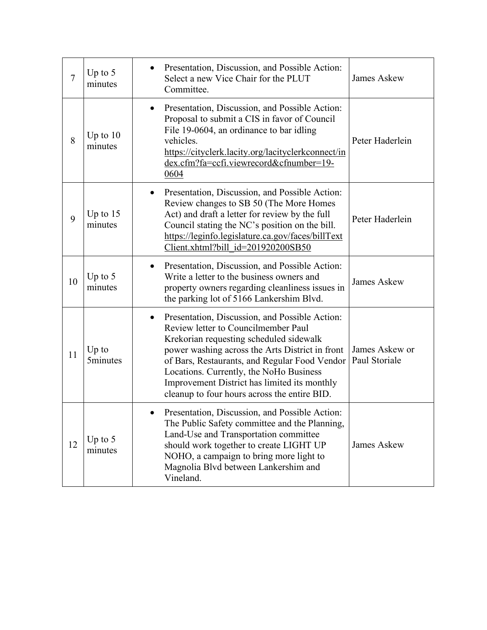| 7  | Up to $5$<br>minutes       | Presentation, Discussion, and Possible Action:<br>Select a new Vice Chair for the PLUT<br>Committee.                                                                                                                                                                                                                                                                                         | <b>James Askew</b>              |
|----|----------------------------|----------------------------------------------------------------------------------------------------------------------------------------------------------------------------------------------------------------------------------------------------------------------------------------------------------------------------------------------------------------------------------------------|---------------------------------|
| 8  | Up to $10$<br>minutes      | Presentation, Discussion, and Possible Action:<br>Proposal to submit a CIS in favor of Council<br>File 19-0604, an ordinance to bar idling<br>vehicles.<br>https://cityclerk.lacity.org/lacityclerkconnect/in<br>dex.cfm?fa=ccfi.viewrecord&cfnumber=19-<br>0604                                                                                                                             | Peter Haderlein                 |
| 9  | Up to $15$<br>minutes      | Presentation, Discussion, and Possible Action:<br>$\bullet$<br>Review changes to SB 50 (The More Homes<br>Act) and draft a letter for review by the full<br>Council stating the NC's position on the bill.<br>https://leginfo.legislature.ca.gov/faces/billText<br>Client.xhtml?bill id=201920200SB50                                                                                        | Peter Haderlein                 |
| 10 | Up to $5$<br>minutes       | Presentation, Discussion, and Possible Action:<br>Write a letter to the business owners and<br>property owners regarding cleanliness issues in<br>the parking lot of 5166 Lankershim Blvd.                                                                                                                                                                                                   | <b>James Askew</b>              |
| 11 | $Up$ to<br><b>5minutes</b> | Presentation, Discussion, and Possible Action:<br>$\bullet$<br>Review letter to Councilmember Paul<br>Krekorian requesting scheduled sidewalk<br>power washing across the Arts District in front<br>of Bars, Restaurants, and Regular Food Vendor<br>Locations. Currently, the NoHo Business<br>Improvement District has limited its monthly<br>cleanup to four hours across the entire BID. | James Askew or<br>Paul Storiale |
| 12 | Up to $5$<br>minutes       | Presentation, Discussion, and Possible Action:<br>The Public Safety committee and the Planning,<br>Land-Use and Transportation committee<br>should work together to create LIGHT UP<br>NOHO, a campaign to bring more light to<br>Magnolia Blvd between Lankershim and<br>Vineland.                                                                                                          | <b>James Askew</b>              |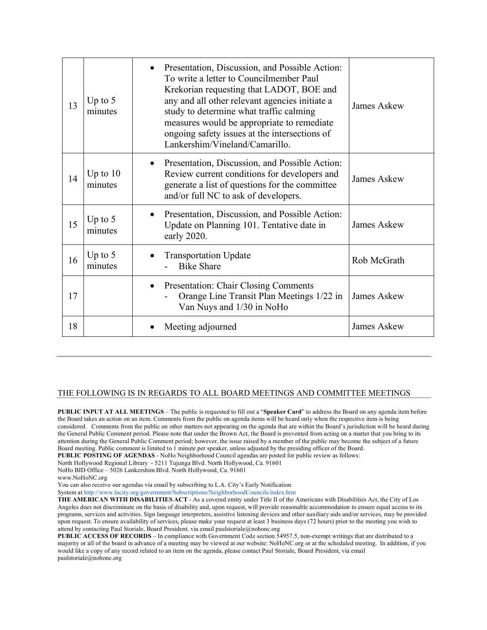| 13 | Up to $5$<br>minutes  | Presentation, Discussion, and Possible Action:<br>To write a letter to Councilmember Paul<br>Krekorian requesting that LADOT, BOE and<br>any and all other relevant agencies initiate a<br>study to determine what traffic calming<br>measures would be appropriate to remediate<br>ongoing safety issues at the intersections of<br>Lankershim/Vineland/Camarillo. | James Askew        |
|----|-----------------------|---------------------------------------------------------------------------------------------------------------------------------------------------------------------------------------------------------------------------------------------------------------------------------------------------------------------------------------------------------------------|--------------------|
| 14 | Up to $10$<br>minutes | Presentation, Discussion, and Possible Action:<br>Review current conditions for developers and<br>generate a list of questions for the committee<br>and/or full NC to ask of developers.                                                                                                                                                                            | <b>James Askew</b> |
| 15 | Up to $5$<br>minutes  | Presentation, Discussion, and Possible Action:<br>Update on Planning 101. Tentative date in<br>early 2020.                                                                                                                                                                                                                                                          | <b>James Askew</b> |
| 16 | Up to $5$<br>minutes  | <b>Transportation Update</b><br><b>Bike Share</b>                                                                                                                                                                                                                                                                                                                   | Rob McGrath        |
| 17 |                       | Presentation: Chair Closing Comments<br>Orange Line Transit Plan Meetings 1/22 in<br>Van Nuys and 1/30 in NoHo                                                                                                                                                                                                                                                      | James Askew        |
| 18 |                       | Meeting adjourned                                                                                                                                                                                                                                                                                                                                                   | <b>James Askew</b> |

## THE FOLLOWING IS IN REGARDS TO ALL BOARD MEETINGS AND COMMITTEE MEETINGS

**PUBLIC INPUT AT ALL MEETINGS** – The public is requested to fill out a "**Speaker Card**" to address the Board on any agenda item before the Board takes an action on an item. Comments from the public on agenda items will be heard only when the respective item is being considered. Comments from the public on other matters not appearing on the agenda that are within the Board's jurisdiction will be heard during the General Public Comment period. Please note that under the Brown Act, the Board is prevented from acting on a matter that you bring to its attention during the General Public Comment period; however, the issue raised by a member of the public may become the subject of a future Board meeting. Public comment is limited to 1 minute per speaker, unless adjusted by the presiding officer of the Board.

**PUBLIC POSTING OF AGENDAS** - NoHo Neighborhood Council agendas are posted for public review as follows:

North Hollywood Regional Library - 5211 Tujunga Blvd. North Hollywood, Ca. 91601

NoHo BID Office – 5026 Lankershim Blvd. North Hollywood, Ca. 91601

www.NoHoNC.org

You can also receive our agendas via email by subscribing to L.A. City's Early Notification

System at http://www.lacity.org/government/Subscriptions/NeighborhoodCouncils/index.htm

**THE AMERICAN WITH DISABILITIES ACT** - As a covered entity under Title II of the Americans with Disabilities Act, the City of Los Angeles does not discriminate on the basis of disability and, upon request, will provide reasonable accommodation to ensure equal access to its programs, services and activities. Sign language interpreters, assistive listening devices and other auxiliary aids and/or services, may be provided upon request. To ensure availability of services, please make your request at least 3 business days (72 hours) prior to the meeting you wish to attend by contacting Paul Storiale, Board President, via email paulstoriale@nohonc.org

**PUBLIC ACCESS OF RECORDS** – In compliance with Government Code section 54957.5, non-exempt writings that are distributed to a majority or all of the board in advance of a meeting may be viewed at our website: NoHoNC.org or at the scheduled meeting. In addition, if you would like a copy of any record related to an item on the agenda, please contact Paul Storiale, Board President, via email paulstoriale@nohonc.org